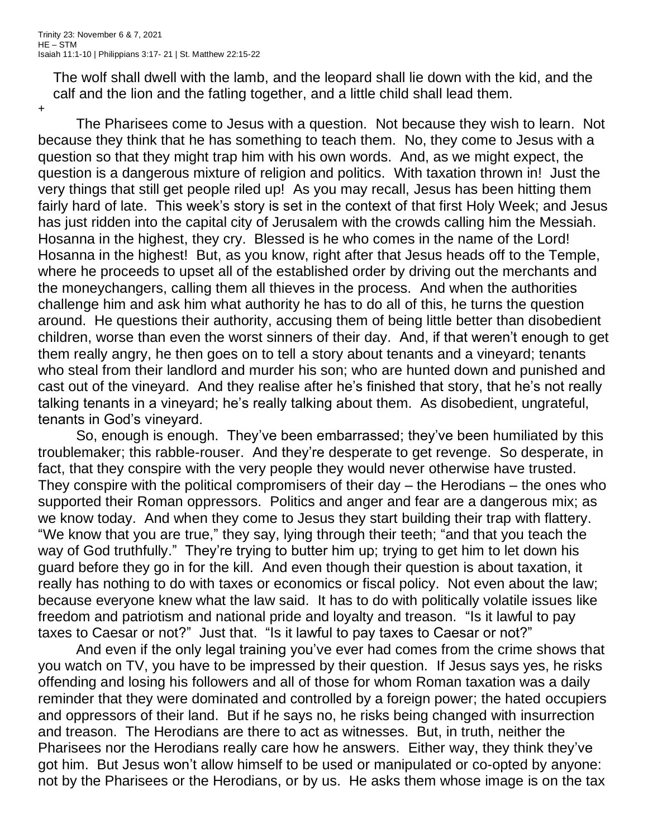The wolf shall dwell with the lamb, and the leopard shall lie down with the kid, and the calf and the lion and the fatling together, and a little child shall lead them.

+

The Pharisees come to Jesus with a question. Not because they wish to learn. Not because they think that he has something to teach them. No, they come to Jesus with a question so that they might trap him with his own words. And, as we might expect, the question is a dangerous mixture of religion and politics. With taxation thrown in! Just the very things that still get people riled up! As you may recall, Jesus has been hitting them fairly hard of late. This week's story is set in the context of that first Holy Week; and Jesus has just ridden into the capital city of Jerusalem with the crowds calling him the Messiah. Hosanna in the highest, they cry. Blessed is he who comes in the name of the Lord! Hosanna in the highest! But, as you know, right after that Jesus heads off to the Temple, where he proceeds to upset all of the established order by driving out the merchants and the moneychangers, calling them all thieves in the process. And when the authorities challenge him and ask him what authority he has to do all of this, he turns the question around. He questions their authority, accusing them of being little better than disobedient children, worse than even the worst sinners of their day. And, if that weren't enough to get them really angry, he then goes on to tell a story about tenants and a vineyard; tenants who steal from their landlord and murder his son; who are hunted down and punished and cast out of the vineyard. And they realise after he's finished that story, that he's not really talking tenants in a vineyard; he's really talking about them. As disobedient, ungrateful, tenants in God's vineyard.

So, enough is enough. They've been embarrassed; they've been humiliated by this troublemaker; this rabble-rouser. And they're desperate to get revenge. So desperate, in fact, that they conspire with the very people they would never otherwise have trusted. They conspire with the political compromisers of their day  $-$  the Herodians  $-$  the ones who supported their Roman oppressors. Politics and anger and fear are a dangerous mix; as we know today. And when they come to Jesus they start building their trap with flattery. "We know that you are true," they say, lying through their teeth; "and that you teach the way of God truthfully." They're trying to butter him up; trying to get him to let down his guard before they go in for the kill. And even though their question is about taxation, it really has nothing to do with taxes or economics or fiscal policy. Not even about the law; because everyone knew what the law said. It has to do with politically volatile issues like freedom and patriotism and national pride and loyalty and treason. "Is it lawful to pay taxes to Caesar or not?" Just that. "Is it lawful to pay taxes to Caesar or not?"

And even if the only legal training you've ever had comes from the crime shows that you watch on TV, you have to be impressed by their question. If Jesus says yes, he risks offending and losing his followers and all of those for whom Roman taxation was a daily reminder that they were dominated and controlled by a foreign power; the hated occupiers and oppressors of their land. But if he says no, he risks being changed with insurrection and treason. The Herodians are there to act as witnesses. But, in truth, neither the Pharisees nor the Herodians really care how he answers. Either way, they think they've got him. But Jesus won't allow himself to be used or manipulated or co-opted by anyone: not by the Pharisees or the Herodians, or by us. He asks them whose image is on the tax